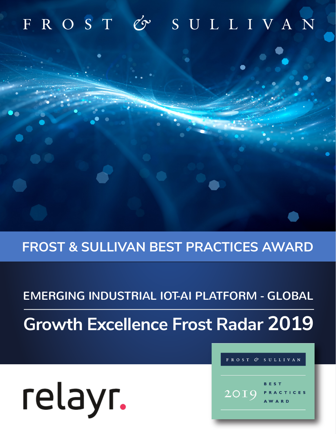# FROST & SULLIVAN

## **FROST & SULLIVAN BEST PRACTICES AWARD**

## EMERGING INDUSTRIAL IOT-AI PLATFORM - GLOBAL

**Growth Excellence Frost Radar 2019**

# relayr.



 $\mathscr{C}$ 

**SULLIVAN**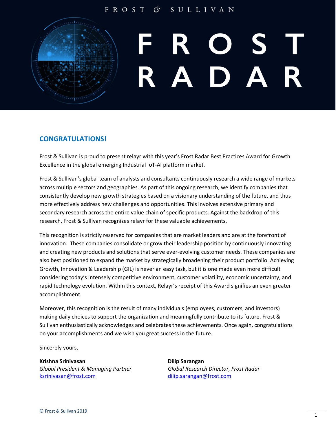#### FROST SULLIVAN

# $\overline{\phantom{a}}$   $\overline{\phantom{a}}$  $\boldsymbol{\Delta}$

#### **CONGRATULATIONS!**

Frost & Sullivan is proud to present relayr with this year's Frost Radar Best Practices Award for Growth Excellence in the global emerging Industrial IoT-AI platform market.

Frost & Sullivan's global team of analysts and consultants continuously research a wide range of markets across multiple sectors and geographies. As part of this ongoing research, we identify companies that consistently develop new growth strategies based on a visionary understanding of the future, and thus more effectively address new challenges and opportunities. This involves extensive primary and secondary research across the entire value chain of specific products. Against the backdrop of this research, Frost & Sullivan recognizes relayr for these valuable achievements.

This recognition is strictly reserved for companies that are market leaders and are at the forefront of innovation. These companies consolidate or grow their leadership position by continuously innovating and creating new products and solutions that serve ever-evolving customer needs. These companies are also best positioned to expand the market by strategically broadening their product portfolio. Achieving Growth, Innovation & Leadership (GIL) is never an easy task, but it is one made even more difficult considering today's intensely competitive environment, customer volatility, economic uncertainty, and rapid technology evolution. Within this context, Relayr's receipt of this Award signifies an even greater accomplishment.

Moreover, this recognition is the result of many individuals (employees, customers, and investors) making daily choices to support the organization and meaningfully contribute to its future. Frost & Sullivan enthusiastically acknowledges and celebrates these achievements. Once again, congratulations on your accomplishments and we wish you great success in the future.

Sincerely yours,

**Krishna Srinivasan Dilip Sarangan** [ksrinivasan@frost.com](mailto:ksrinivasan@frost.com) [dilip.sarangan@frost.com](mailto:dilip.sarangan@frost.com)

*Global President & Managing Partner Global Research Director, Frost Radar*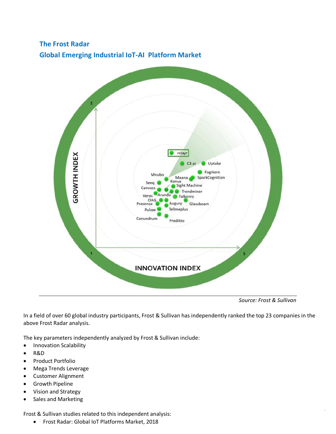## **The Frost Radar Global Emerging Industrial IoT-AI Platform Market**



*Source: Frost & Sullivan*

In a field of over 60 global industry participants, Frost & Sullivan has independently ranked the top 23 companies in the above Frost Radar analysis.

The key parameters independently analyzed by Frost & Sullivan include:

- Innovation Scalability
- R&D
- Product Portfolio
- Mega Trends Leverage
- Customer Alignment
- Growth Pipeline
- Vision and Strategy
- Sales and Marketing

Frost & Sullivan studies related to this independent analysis:

• Frost Radar: Global IoT Platforms Market, 2018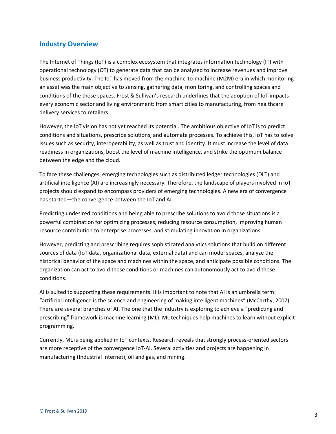#### **Industry Overview**

The Internet of Things (IoT) is a complex ecosystem that integrates information technology (IT) with operational technology (OT) to generate data that can be analyzed to increase revenues and improve business productivity. The IoT has moved from the machine-to-machine (M2M) era in which monitoring an asset was the main objective to sensing, gathering data, monitoring, and controlling spaces and conditions of the those spaces. Frost & Sullivan's research underlines that the adoption of IoT impacts every economic sector and living environment: from smart cities to manufacturing, from healthcare delivery services to retailers.

However, the IoT vision has not yet reached its potential. The ambitious objective of IoT is to predict conditions and situations, prescribe solutions, and automate processes. To achieve this, IoT has to solve issues such as security, interoperability, as well as trust and identity. It must increase the level of data readiness in organizations, boost the level of machine intelligence, and strike the optimum balance between the edge and the cloud.

To face these challenges, emerging technologies such as distributed ledger technologies (DLT) and artificial intelligence (AI) are increasingly necessary. Therefore, the landscape of players involved in IoT projects should expand to encompass providers of emerging technologies. A new era of convergence has started—the convergence between the IoT and AI.

Predicting undesired conditions and being able to prescribe solutions to avoid those situations is a powerful combination for optimizing processes, reducing resource consumption, improving human resource contribution to enterprise processes, and stimulating innovation in organizations.

However, predicting and prescribing requires sophisticated analytics solutions that build on different sources of data (IoT data, organizational data, external data) and can model spaces, analyze the historical behavior of the space and machines within the space, and anticipate possible conditions. The organization can act to avoid these conditions or machines can autonomously act to avoid those conditions.

AI is suited to supporting these requirements. It is important to note that AI is an umbrella term: "artificial intelligence is the science and engineering of making intelligent machines" (McCarthy, 2007). There are several branches of AI. The one that the industry is exploring to achieve a "predicting and prescribing" framework is machine learning (ML). ML techniques help machines to learn without explicit programming.

Currently, ML is being applied in IoT contexts. Research reveals that strongly process-oriented sectors are more receptive of the convergence IoT-AI. Several activities and projects are happening in manufacturing (Industrial Internet), oil and gas, and mining.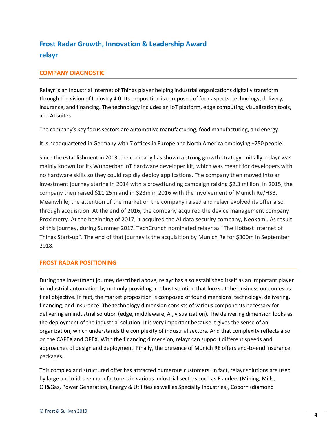### **Frost Radar Growth, Innovation & Leadership Award relayr**

#### **COMPANY DIAGNOSTIC**

Relayr is an Industrial Internet of Things player helping industrial organizations digitally transform through the vision of Industry 4.0. Its proposition is composed of four aspects: technology, delivery, insurance, and financing. The technology includes an IoT platform, edge computing, visualization tools, and AI suites.

The company's key focus sectors are automotive manufacturing, food manufacturing, and energy.

It is headquartered in Germany with 7 offices in Europe and North America employing +250 people.

Since the establishment in 2013, the company has shown a strong growth strategy. Initially, relayr was mainly known for its Wunderbar IoT hardware developer kit, which was meant for developers with no hardware skills so they could rapidly deploy applications. The company then moved into an investment journey staring in 2014 with a crowdfunding campaign raising \$2.3 million. In 2015, the company then raised \$11.25m and in \$23m in 2016 with the involvement of Munich Re/HSB. Meanwhile, the attention of the market on the company raised and relayr evolved its offer also through acquisition. At the end of 2016, the company acquired the device management company Proximetry. At the beginning of 2017, it acquired the AI data security company, Neokami. As result of this journey, during Summer 2017, TechCrunch nominated relayr as "The Hottest Internet of Things Start-up". The end of that journey is the acquisition by Munich Re for \$300m in September 2018.

#### **FROST RADAR POSITIONING**

During the investment journey described above, relayr has also established itself as an important player in industrial automation by not only providing a robust solution that looks at the business outcomes as final objective. In fact, the market proposition is composed of four dimensions: technology, delivering, financing, and insurance. The technology dimension consists of various components necessary for delivering an industrial solution (edge, middleware, AI, visualization). The delivering dimension looks as the deployment of the industrial solution. It is very important because it gives the sense of an organization, which understands the complexity of industrial sectors. And that complexity reflects also on the CAPEX and OPEX. With the financing dimension, relayr can support different speeds and approaches of design and deployment. Finally, the presence of Munich RE offers end-to-end insurance packages.

This complex and structured offer has attracted numerous customers. In fact, relayr solutions are used by large and mid-size manufacturers in various industrial sectors such as Flanders (Mining, Mills, Oil&Gas, Power Generation, Energy & Utilities as well as Specialty Industries), Coborn (diamond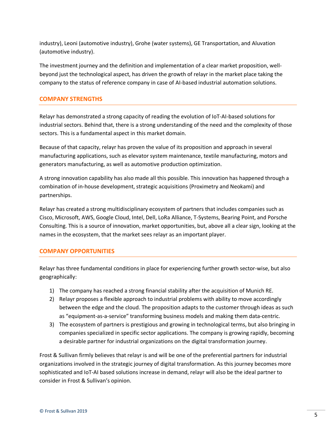industry), Leoni (automotive industry), Grohe (water systems), GE Transportation, and Aluvation (automotive industry).

The investment journey and the definition and implementation of a clear market proposition, wellbeyond just the technological aspect, has driven the growth of relayr in the market place taking the company to the status of reference company in case of AI-based industrial automation solutions.

#### **COMPANY STRENGTHS**

Relayr has demonstrated a strong capacity of reading the evolution of IoT-AI-based solutions for industrial sectors. Behind that, there is a strong understanding of the need and the complexity of those sectors. This is a fundamental aspect in this market domain.

Because of that capacity, relayr has proven the value of its proposition and approach in several manufacturing applications, such as elevator system maintenance, textile manufacturing, motors and generators manufacturing, as well as automotive production optimization.

A strong innovation capability has also made all this possible. This innovation has happened through a combination of in-house development, strategic acquisitions (Proximetry and Neokami) and partnerships.

Relayr has created a strong multidisciplinary ecosystem of partners that includes companies such as Cisco, Microsoft, AWS, Google Cloud, Intel, Dell, LoRa Alliance, T-Systems, Bearing Point, and Porsche Consulting. This is a source of innovation, market opportunities, but, above all a clear sign, looking at the names in the ecosystem, that the market sees relayr as an important player.

#### **COMPANY OPPORTUNITIES**

Relayr has three fundamental conditions in place for experiencing further growth sector-wise, but also geographically:

- 1) The company has reached a strong financial stability after the acquisition of Munich RE.
- 2) Relayr proposes a flexible approach to industrial problems with ability to move accordingly between the edge and the cloud. The proposition adapts to the customer through ideas as such as "equipment-as-a-service" transforming business models and making them data-centric.
- 3) The ecosystem of partners is prestigious and growing in technological terms, but also bringing in companies specialized in specific sector applications. The company is growing rapidly, becoming a desirable partner for industrial organizations on the digital transformation journey.

Frost & Sullivan firmly believes that relayr is and will be one of the preferential partners for industrial organizations involved in the strategic journey of digital transformation. As this journey becomes more sophisticated and IoT-AI based solutions increase in demand, relayr will also be the ideal partner to consider in Frost & Sullivan's opinion.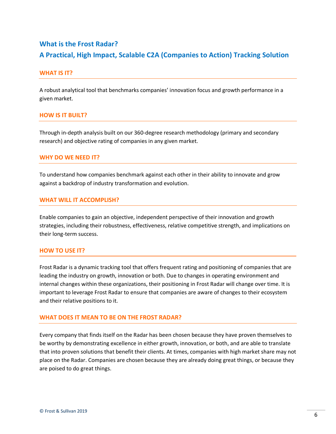### **What is the Frost Radar? A Practical, High Impact, Scalable C2A (Companies to Action) Tracking Solution**

#### **WHAT IS IT?**

A robust analytical tool that benchmarks companies' innovation focus and growth performance in a given market.

#### **HOW IS IT BUILT?**

Through in-depth analysis built on our 360-degree research methodology (primary and secondary research) and objective rating of companies in any given market.

#### **WHY DO WE NEED IT?**

To understand how companies benchmark against each other in their ability to innovate and grow against a backdrop of industry transformation and evolution.

#### **WHAT WILL IT ACCOMPLISH?**

Enable companies to gain an objective, independent perspective of their innovation and growth strategies, including their robustness, effectiveness, relative competitive strength, and implications on their long-term success.

#### **HOW TO USE IT?**

Frost Radar is a dynamic tracking tool that offers frequent rating and positioning of companies that are leading the industry on growth, innovation or both. Due to changes in operating environment and internal changes within these organizations, their positioning in Frost Radar will change over time. It is important to leverage Frost Radar to ensure that companies are aware of changes to their ecosystem and their relative positions to it.

#### **WHAT DOES IT MEAN TO BE ON THE FROST RADAR?**

Every company that finds itself on the Radar has been chosen because they have proven themselves to be worthy by demonstrating excellence in either growth, innovation, or both, and are able to translate that into proven solutions that benefit their clients. At times, companies with high market share may not place on the Radar. Companies are chosen because they are already doing great things, or because they are poised to do great things.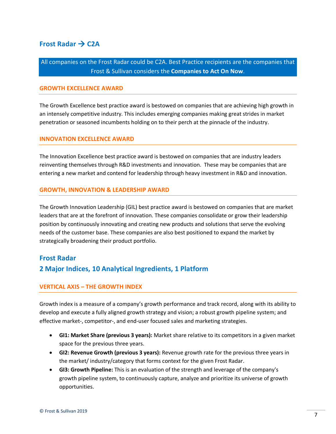#### **Frost Radar → C2A**

All companies on the Frost Radar could be C2A. Best Practice recipients are the companies that Frost & Sullivan considers the **Companies to Act On Now**.

#### **GROWTH EXCELLENCE AWARD**

The Growth Excellence best practice award is bestowed on companies that are achieving high growth in an intensely competitive industry. This includes emerging companies making great strides in market penetration or seasoned incumbents holding on to their perch at the pinnacle of the industry.

#### **INNOVATION EXCELLENCE AWARD**

The Innovation Excellence best practice award is bestowed on companies that are industry leaders reinventing themselves through R&D investments and innovation. These may be companies that are entering a new market and contend for leadership through heavy investment in R&D and innovation.

#### **GROWTH, INNOVATION & LEADERSHIP AWARD**

The Growth Innovation Leadership (GIL) best practice award is bestowed on companies that are market leaders that are at the forefront of innovation. These companies consolidate or grow their leadership position by continuously innovating and creating new products and solutions that serve the evolving needs of the customer base. These companies are also best positioned to expand the market by strategically broadening their product portfolio.

#### **Frost Radar**

#### **2 Major Indices, 10 Analytical Ingredients, 1 Platform**

#### **VERTICAL AXIS – THE GROWTH INDEX**

Growth index is a measure of a company's growth performance and track record, along with its ability to develop and execute a fully aligned growth strategy and vision; a robust growth pipeline system; and effective market-, competitor-, and end-user focused sales and marketing strategies.

- **GI1: Market Share (previous 3 years):** Market share relative to its competitors in a given market space for the previous three years.
- **GI2: Revenue Growth (previous 3 years):** Revenue growth rate for the previous three years in the market/ industry/category that forms context for the given Frost Radar.
- **GI3: Growth Pipeline:** This is an evaluation of the strength and leverage of the company's growth pipeline system, to continuously capture, analyze and prioritize its universe of growth opportunities.